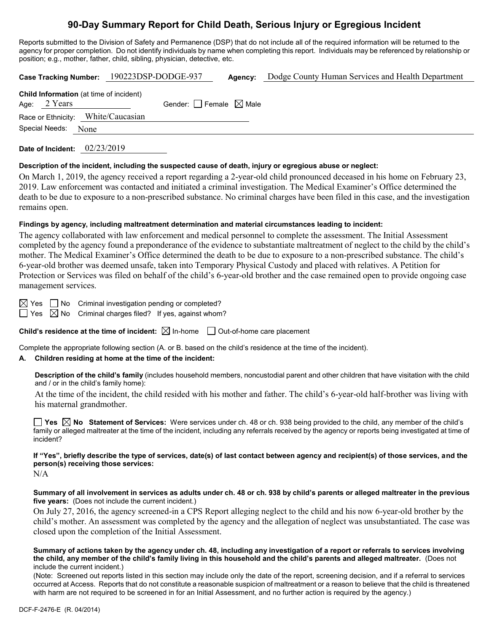# **90-Day Summary Report for Child Death, Serious Injury or Egregious Incident**

Reports submitted to the Division of Safety and Permanence (DSP) that do not include all of the required information will be returned to the agency for proper completion. Do not identify individuals by name when completing this report. Individuals may be referenced by relationship or position; e.g., mother, father, child, sibling, physician, detective, etc.

**Case Tracking Number:** 190223DSP-DODGE-937 **Agency:** Dodge County Human Services and Health Department

|                     | <b>Child Information</b> (at time of incident) |                                        |  |
|---------------------|------------------------------------------------|----------------------------------------|--|
| Age: $2$ Years      |                                                | Gender: $\Box$ Female $\boxtimes$ Male |  |
|                     | Race or Ethnicity: White/Caucasian             |                                        |  |
| Special Needs: None |                                                |                                        |  |
|                     |                                                |                                        |  |

**Date of Incident:** 02/23/2019

### **Description of the incident, including the suspected cause of death, injury or egregious abuse or neglect:**

On March 1, 2019, the agency received a report regarding a 2-year-old child pronounced deceased in his home on February 23, 2019. Law enforcement was contacted and initiated a criminal investigation. The Medical Examiner's Office determined the death to be due to exposure to a non-prescribed substance. No criminal charges have been filed in this case, and the investigation remains open.

## **Findings by agency, including maltreatment determination and material circumstances leading to incident:**

The agency collaborated with law enforcement and medical personnel to complete the assessment. The Initial Assessment completed by the agency found a preponderance of the evidence to substantiate maltreatment of neglect to the child by the child's mother. The Medical Examiner's Office determined the death to be due to exposure to a non-prescribed substance. The child's 6-year-old brother was deemed unsafe, taken into Temporary Physical Custody and placed with relatives. A Petition for Protection or Services was filed on behalf of the child's 6-year-old brother and the case remained open to provide ongoing case management services.

 $\boxtimes$  Yes  $\Box$  No Criminal investigation pending or completed?

 $\Box$  Yes  $\boxtimes$  No Criminal charges filed? If yes, against whom?

**Child's residence at the time of incident:**  $\boxtimes$  In-home  $\Box$  Out-of-home care placement

Complete the appropriate following section (A. or B. based on the child's residence at the time of the incident).

# **A. Children residing at home at the time of the incident:**

**Description of the child's family** (includes household members, noncustodial parent and other children that have visitation with the child and / or in the child's family home):

At the time of the incident, the child resided with his mother and father. The child's 6-year-old half-brother was living with his maternal grandmother.

**Yes No Statement of Services:** Were services under ch. 48 or ch. 938 being provided to the child, any member of the child's family or alleged maltreater at the time of the incident, including any referrals received by the agency or reports being investigated at time of incident?

## **If "Yes", briefly describe the type of services, date(s) of last contact between agency and recipient(s) of those services, and the person(s) receiving those services:**

N/A

**Summary of all involvement in services as adults under ch. 48 or ch. 938 by child's parents or alleged maltreater in the previous five years:** (Does not include the current incident.)

On July 27, 2016, the agency screened-in a CPS Report alleging neglect to the child and his now 6-year-old brother by the child's mother. An assessment was completed by the agency and the allegation of neglect was unsubstantiated. The case was closed upon the completion of the Initial Assessment.

**Summary of actions taken by the agency under ch. 48, including any investigation of a report or referrals to services involving the child, any member of the child's family living in this household and the child's parents and alleged maltreater.** (Does not include the current incident.)

(Note: Screened out reports listed in this section may include only the date of the report, screening decision, and if a referral to services occurred at Access. Reports that do not constitute a reasonable suspicion of maltreatment or a reason to believe that the child is threatened with harm are not required to be screened in for an Initial Assessment, and no further action is required by the agency.)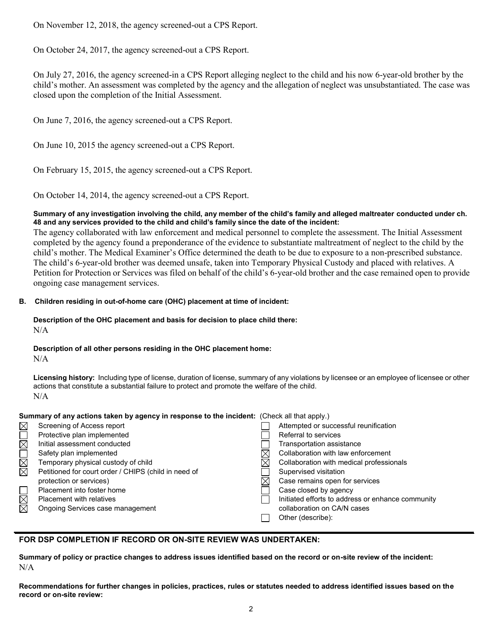On November 12, 2018, the agency screened-out a CPS Report.

On October 24, 2017, the agency screened-out a CPS Report.

On July 27, 2016, the agency screened-in a CPS Report alleging neglect to the child and his now 6-year-old brother by the child's mother. An assessment was completed by the agency and the allegation of neglect was unsubstantiated. The case was closed upon the completion of the Initial Assessment.

On June 7, 2016, the agency screened-out a CPS Report.

On June 10, 2015 the agency screened-out a CPS Report.

On February 15, 2015, the agency screened-out a CPS Report.

On October 14, 2014, the agency screened-out a CPS Report.

### **Summary of any investigation involving the child, any member of the child's family and alleged maltreater conducted under ch. 48 and any services provided to the child and child's family since the date of the incident:**

The agency collaborated with law enforcement and medical personnel to complete the assessment. The Initial Assessment completed by the agency found a preponderance of the evidence to substantiate maltreatment of neglect to the child by the child's mother. The Medical Examiner's Office determined the death to be due to exposure to a non-prescribed substance. The child's 6-year-old brother was deemed unsafe, taken into Temporary Physical Custody and placed with relatives. A Petition for Protection or Services was filed on behalf of the child's 6-year-old brother and the case remained open to provide ongoing case management services.

## **B. Children residing in out-of-home care (OHC) placement at time of incident:**

#### **Description of the OHC placement and basis for decision to place child there:** N/A

# **Description of all other persons residing in the OHC placement home:**

N/A

**Licensing history:** Including type of license, duration of license, summary of any violations by licensee or an employee of licensee or other actions that constitute a substantial failure to protect and promote the welfare of the child. N/A

### **Summary of any actions taken by agency in response to the incident:** (Check all that apply.)

|                        | Screening of Access report                           |   | Attempted or successful reunification             |
|------------------------|------------------------------------------------------|---|---------------------------------------------------|
|                        | Protective plan implemented                          |   | Referral to services                              |
|                        | Initial assessment conducted                         |   | Transportation assistance                         |
|                        | Safety plan implemented                              |   | Collaboration with law enforcement                |
| <u>rar</u>             | Temporary physical custody of child                  |   | Collaboration with medical professionals          |
|                        | Petitioned for court order / CHIPS (child in need of |   | Supervised visitation                             |
|                        | protection or services)                              | ⋉ | Case remains open for services                    |
|                        | Placement into foster home                           |   | Case closed by agency                             |
| $\boxtimes$            | <b>Placement with relatives</b>                      |   | Initiated efforts to address or enhance community |
| $\overline{\boxtimes}$ | Ongoing Services case management                     |   | collaboration on CA/N cases                       |
|                        |                                                      |   | Other (describe):                                 |
|                        |                                                      |   |                                                   |

## **FOR DSP COMPLETION IF RECORD OR ON-SITE REVIEW WAS UNDERTAKEN:**

**Summary of policy or practice changes to address issues identified based on the record or on-site review of the incident:** N/A

**Recommendations for further changes in policies, practices, rules or statutes needed to address identified issues based on the record or on-site review:**